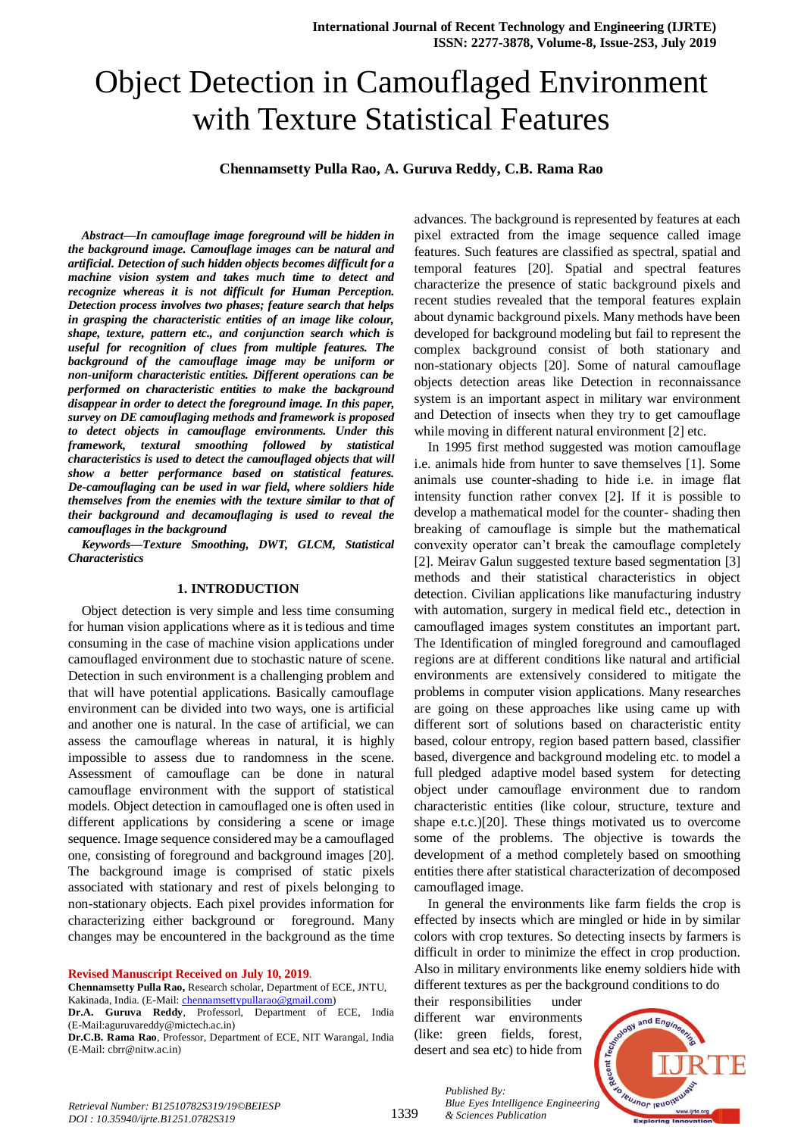# Object Detection in Camouflaged Environment with Texture Statistical Features

## **Chennamsetty Pulla Rao, A. Guruva Reddy, C.B. Rama Rao**

*Abstract***—***In camouflage image foreground will be hidden in the background image. Camouflage images can be natural and artificial. Detection of such hidden objects becomes difficult for a machine vision system and takes much time to detect and recognize whereas it is not difficult for Human Perception. Detection process involves two phases; feature search that helps in grasping the characteristic entities of an image like colour, shape, texture, pattern etc., and conjunction search which is useful for recognition of clues from multiple features. The background of the camouflage image may be uniform or non-uniform characteristic entities. Different operations can be performed on characteristic entities to make the background disappear in order to detect the foreground image. In this paper, survey on DE camouflaging methods and framework is proposed to detect objects in camouflage environments. Under this framework, textural smoothing followed by statistical characteristics is used to detect the camouflaged objects that will show a better performance based on statistical features. De-camouflaging can be used in war field, where soldiers hide themselves from the enemies with the texture similar to that of their background and decamouflaging is used to reveal the camouflages in the background*

*Keywords—Texture Smoothing, DWT, GLCM, Statistical Characteristics*

#### **1. INTRODUCTION**

Object detection is very simple and less time consuming for human vision applications where as it is tedious and time consuming in the case of machine vision applications under camouflaged environment due to stochastic nature of scene. Detection in such environment is a challenging problem and that will have potential applications. Basically camouflage environment can be divided into two ways, one is artificial and another one is natural. In the case of artificial, we can assess the camouflage whereas in natural, it is highly impossible to assess due to randomness in the scene. Assessment of camouflage can be done in natural camouflage environment with the support of statistical models. Object detection in camouflaged one is often used in different applications by considering a scene or image sequence. Image sequence considered may be a camouflaged one, consisting of foreground and background images [20]. The background image is comprised of static pixels associated with stationary and rest of pixels belonging to non-stationary objects. Each pixel provides information for characterizing either background or foreground. Many changes may be encountered in the background as the time

**Revised Manuscript Received on July 10, 2019**.

**Chennamsetty Pulla Rao,** Research scholar, Department of ECE, JNTU, Kakinada, India. (E-Mail: [chennamsettypullarao@gmail.com\)](mailto:chennamsettypullarao@gmail.com)

**Dr.A. Guruva Reddy**, Professorl, Department of ECE, India (E-Mail:aguruvareddy@mictech.ac.in)

**Dr.C.B. Rama Rao**, Professor, Department of ECE, NIT Warangal, India (E-Mail: cbrr@nitw.ac.in)

advances. The background is represented by features at each pixel extracted from the image sequence called image features. Such features are classified as spectral, spatial and temporal features [20]. Spatial and spectral features characterize the presence of static background pixels and recent studies revealed that the temporal features explain about dynamic background pixels. Many methods have been developed for background modeling but fail to represent the complex background consist of both stationary and non-stationary objects [20]. Some of natural camouflage objects detection areas like Detection in reconnaissance system is an important aspect in military war environment and Detection of insects when they try to get camouflage while moving in different natural environment [2] etc.

In 1995 first method suggested was motion camouflage i.e. animals hide from hunter to save themselves [1]. Some animals use counter-shading to hide i.e. in image flat intensity function rather convex [2]. If it is possible to develop a mathematical model for the counter- shading then breaking of camouflage is simple but the mathematical convexity operator can't break the camouflage completely [2]. Meirav Galun suggested texture based segmentation [3] methods and their statistical characteristics in object detection. Civilian applications like manufacturing industry with automation, surgery in medical field etc., detection in camouflaged images system constitutes an important part. The Identification of mingled foreground and camouflaged regions are at different conditions like natural and artificial environments are extensively considered to mitigate the problems in computer vision applications. Many researches are going on these approaches like using came up with different sort of solutions based on characteristic entity based, colour entropy, region based pattern based, classifier based, divergence and background modeling etc. to model a full pledged adaptive model based system for detecting object under camouflage environment due to random characteristic entities (like colour, structure, texture and shape e.t.c.)[20]. These things motivated us to overcome some of the problems. The objective is towards the development of a method completely based on smoothing entities there after statistical characterization of decomposed camouflaged image.

In general the environments like farm fields the crop is effected by insects which are mingled or hide in by similar colors with crop textures. So detecting insects by farmers is difficult in order to minimize the effect in crop production. Also in military environments like enemy soldiers hide with different textures as per the background conditions to do

their responsibilities under different war environments (like: green fields, forest, desert and sea etc) to hide from

*& Sciences Publication* 

*Published By:*



*Retrieval Number: B12510782S319/19©BEIESP DOI : 10.35940/ijrte.B1251.0782S319*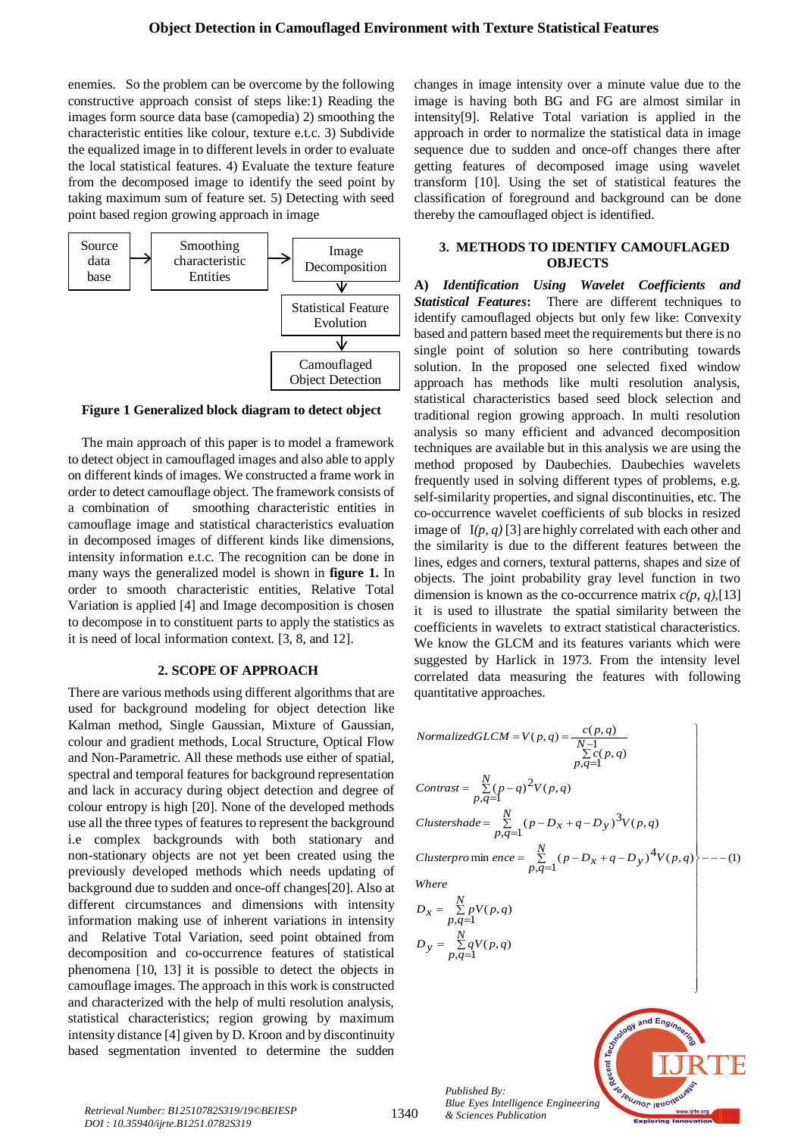enemies. So the problem can be overcome by the following constructive approach consist of steps like:1) Reading the images form source data base (camopedia) 2) smoothing the characteristic entities like colour, texture e.t.c. 3) Subdivide the equalized image in to different levels in order to evaluate the local statistical features. 4) Evaluate the texture feature from the decomposed image to identify the seed point by taking maximum sum of feature set. 5) Detecting with seed point based region growing approach in image



**Figure 1 Generalized block diagram to detect object**

The main approach of this paper is to model a framework to detect object in camouflaged images and also able to apply on different kinds of images. We constructed a frame work in order to detect camouflage object. The framework consists of a combination of smoothing characteristic entities in camouflage image and statistical characteristics evaluation in decomposed images of different kinds like dimensions, intensity information e.t.c. The recognition can be done in many ways the generalized model is shown in **figure 1.** In order to smooth characteristic entities, Relative Total Variation is applied [4] and Image decomposition is chosen to decompose in to constituent parts to apply the statistics as it is need of local information context. [3, 8, and 12].

## **2. SCOPE OF APPROACH**

There are various methods using different algorithms that are used for background modeling for object detection like Kalman method, Single Gaussian, Mixture of Gaussian, colour and gradient methods, Local Structure, Optical Flow and Non-Parametric. All these methods use either of spatial, spectral and temporal features for background representation and lack in accuracy during object detection and degree of colour entropy is high [20]. None of the developed methods use all the three types of features to represent the background i.e complex backgrounds with both stationary and non-stationary objects are not yet been created using the previously developed methods which needs updating of background due to sudden and once-off changes[20]. Also at different circumstances and dimensions with intensity information making use of inherent variations in intensity and Relative Total Variation, seed point obtained from decomposition and co-occurrence features of statistical phenomena [10, 13] it is possible to detect the objects in camouflage images. The approach in this work is constructed and characterized with the help of multi resolution analysis, statistical characteristics; region growing by maximum intensity distance [4] given by D. Kroon and by discontinuity based segmentation invented to determine the sudden

changes in image intensity over a minute value due to the image is having both BG and FG are almost similar in intensity[9]. Relative Total variation is applied in the approach in order to normalize the statistical data in image sequence due to sudden and once-off changes there after getting features of decomposed image using wavelet transform [10]. Using the set of statistical features the classification of foreground and background can be done thereby the camouflaged object is identified.

## **3. METHODS TO IDENTIFY CAMOUFLAGED OBJECTS**

**A)** *Identification Using Wavelet Coefficients and Statistical Features***:** There are different techniques to identify camouflaged objects but only few like: Convexity based and pattern based meet the requirements but there is no single point of solution so here contributing towards solution. In the proposed one selected fixed window approach has methods like multi resolution analysis, statistical characteristics based seed block selection and traditional region growing approach. In multi resolution analysis so many efficient and advanced decomposition techniques are available but in this analysis we are using the method proposed by Daubechies. Daubechies wavelets frequently used in solving different types of problems, e.g. self-similarity properties, and signal discontinuities, etc. The co-occurrence wavelet coefficients of sub blocks in resized image of I*(p, q)* [3] are highly correlated with each other and the similarity is due to the different features between the lines, edges and corners, textural patterns, shapes and size of objects. The joint probability gray level function in two dimension is known as the co-occurrence matrix *c(p, q)*,[13] it is used to illustrate the spatial similarity between the coefficients in wavelets to extract statistical characteristics. We know the GLCM and its features variants which were suggested by Harlick in 1973. From the intensity level correlated data measuring the features with following quantitative approaches.

NormalizedGLCM = 
$$
V(p,q) = \frac{c(p,q)}{\sum_{p,q=1}^{N-1} c(p,q)}
$$
  
\n
$$
p, q=1
$$
\n
$$
Contrast = \sum_{p,q=1}^{N} (p-q)^2 V(p,q)
$$
\n
$$
Cluster shade = \sum_{p,q=1}^{N} (p - D_x + q - D_y)^3 V(p,q)
$$
\n
$$
Cluster pro min\ ence = \sum_{p,q=1}^{N} (p - D_x + q - D_y)^4 V(p,q)
$$
\n
$$
D_x = \sum_{p,q=1}^{N} pV(p,q)
$$
\n
$$
D_y = \sum_{p,q=1}^{N} qV(p,q)
$$

 $\mathbf{I}$  $\overline{ }$  $\frac{1}{2}$  $\frac{1}{2}$ 

 $\int$ 

and Engr

**TRUJNOL ISLICITE** 

*Published By: Blue Eyes Intelligence Engineering* 

*& Sciences Publication Retrieval Number: B12510782S319/19©BEIESP DOI : 10.35940/ijrte.B1251.0782S319*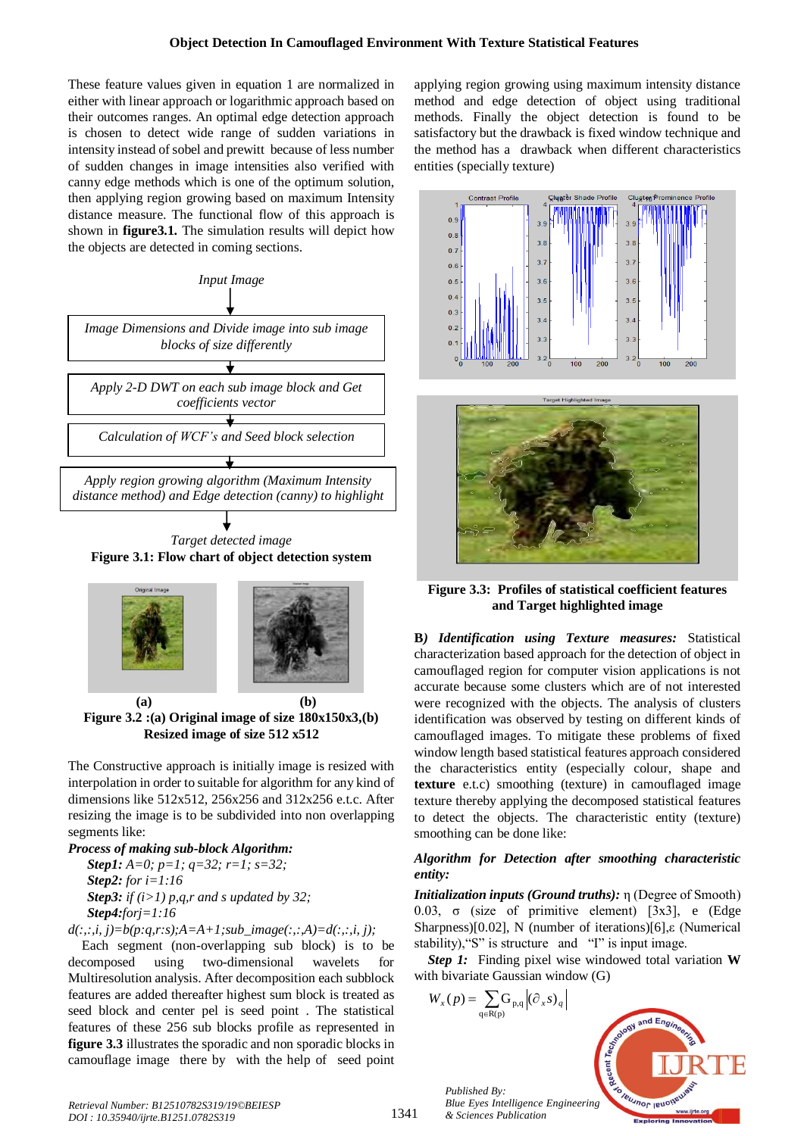These feature values given in equation 1 are normalized in either with linear approach or logarithmic approach based on their outcomes ranges. An optimal edge detection approach is chosen to detect wide range of sudden variations in intensity instead of sobel and prewitt because of less number of sudden changes in image intensities also verified with canny edge methods which is one of the optimum solution, then applying region growing based on maximum Intensity distance measure. The functional flow of this approach is shown in **figure3.1.** The simulation results will depict how the objects are detected in coming sections.



**Figure 3.1: Flow chart of object detection system**



**(a) (b) Figure 3.2 :(a) Original image of size 180x150x3,(b) Resized image of size 512 x512**

The Constructive approach is initially image is resized with interpolation in order to suitable for algorithm for any kind of dimensions like 512x512, 256x256 and 312x256 e.t.c. After resizing the image is to be subdivided into non overlapping segments like:

*Process of making sub-block Algorithm: Step1: A=0; p=1; q=32; r=1; s=32; Step2: for i=1:16 Step3: if (i>1) p,q,r and s updated by 32; Step4:forj=1:16* 

$$
d(:, :, i, j) = b(p:q, r:s); A = A + I; sub\_image(:, :, A) = d(:, :, i, j);
$$

Each segment (non-overlapping sub block) is to be decomposed using two-dimensional wavelets for Multiresolution analysis. After decomposition each subblock features are added thereafter highest sum block is treated as seed block and center pel is seed point . The statistical features of these 256 sub blocks profile as represented in **figure 3.3** illustrates the sporadic and non sporadic blocks in camouflage image there by with the help of seed point

applying region growing using maximum intensity distance method and edge detection of object using traditional methods. Finally the object detection is found to be satisfactory but the drawback is fixed window technique and the method has a drawback when different characteristics entities (specially texture)





**Figure 3.3: Profiles of statistical coefficient features and Target highlighted image**

**B***) Identification using Texture measures:* Statistical characterization based approach for the detection of object in camouflaged region for computer vision applications is not accurate because some clusters which are of not interested were recognized with the objects. The analysis of clusters identification was observed by testing on different kinds of camouflaged images. To mitigate these problems of fixed window length based statistical features approach considered the characteristics entity (especially colour, shape and **texture** e.t.c) smoothing (texture) in camouflaged image texture thereby applying the decomposed statistical features to detect the objects. The characteristic entity (texture) smoothing can be done like:

# *Algorithm for Detection after smoothing characteristic entity:*

*Initialization inputs (Ground truths):* η (Degree of Smooth) 0.03, σ (size of primitive element) [3x3], e (Edge Sharpness)[0.02], N (number of iterations)[6],ε (Numerical stability),"S" is structure and "I" is input image.

*Step 1:*Finding pixel wise windowed total variation **W** with bivariate Gaussian window (G)



*Retrieval Number: B12510782S319/19©BEIESP DOI : 10.35940/ijrte.B1251.0782S319*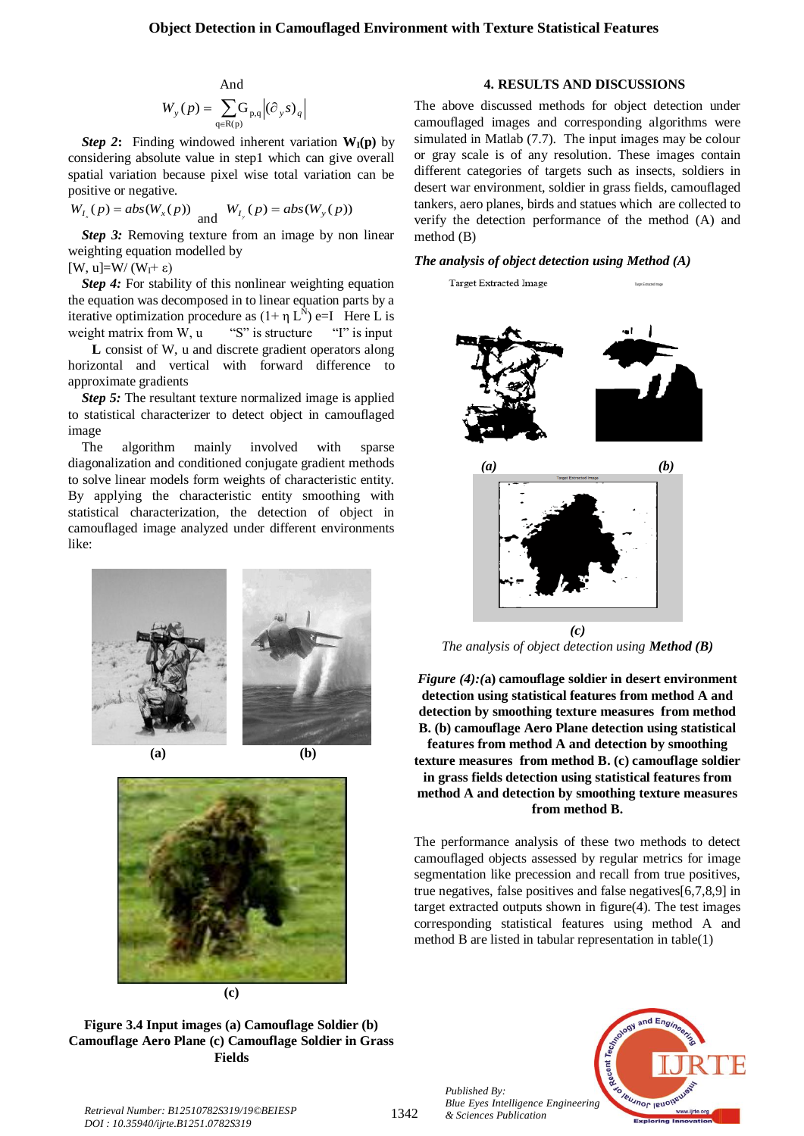#### **Object Detection in Camouflaged Environment with Texture Statistical Features**

And  

$$
W_{y}(p) = \sum_{q \in R(p)} G_{p,q} |(\partial_{y} s)_{q}
$$

*Step 2***:** Finding windowed inherent variation  $W_I(p)$  by considering absolute value in step1 which can give overall spatial variation because pixel wise total variation can be positive or negative.

$$
W_{I_x}(p) = abs(W_x(p))
$$
 and  $W_{I_y}(p) = abs(W_y(p))$ 

*Step 3:* Removing texture from an image by non linear weighting equation modelled by

[W, u]=W/ (W<sub>I</sub>+ ε)

*Step 4:* For stability of this nonlinear weighting equation the equation was decomposed in to linear equation parts by a iterative optimization procedure as  $(1 + \eta L^{\tilde{N}})$  e=I Here L is weight matrix from W, u "S" is structure "I" is input

 **L** consist of W, u and discrete gradient operators along horizontal and vertical with forward difference to approximate gradients

*Step 5:* The resultant texture normalized image is applied to statistical characterizer to detect object in camouflaged image

The algorithm mainly involved with sparse diagonalization and conditioned conjugate gradient methods to solve linear models form weights of characteristic entity. By applying the characteristic entity smoothing with statistical characterization, the detection of object in camouflaged image analyzed under different environments like:





**Figure 3.4 Input images (a) Camouflage Soldier (b) Camouflage Aero Plane (c) Camouflage Soldier in Grass Fields**

#### **4. RESULTS AND DISCUSSIONS**

The above discussed methods for object detection under camouflaged images and corresponding algorithms were simulated in Matlab (7.7). The input images may be colour or gray scale is of any resolution. These images contain different categories of targets such as insects, soldiers in desert war environment, soldier in grass fields, camouflaged tankers, aero planes, birds and statues which are collected to verify the detection performance of the method (A) and method (B)

#### *The analysis of object detection using Method (A)*



*The analysis of object detection using Method (B)*

*Figure (4):(***a) camouflage soldier in desert environment detection using statistical features from method A and detection by smoothing texture measures from method B. (b) camouflage Aero Plane detection using statistical features from method A and detection by smoothing texture measures from method B. (c) camouflage soldier in grass fields detection using statistical features from method A and detection by smoothing texture measures from method B.**

The performance analysis of these two methods to detect camouflaged objects assessed by regular metrics for image segmentation like precession and recall from true positives, true negatives, false positives and false negatives[6,7,8,9] in target extracted outputs shown in figure(4). The test images corresponding statistical features using method A and method B are listed in tabular representation in table(1)



*Published By: Blue Eyes Intelligence Engineering*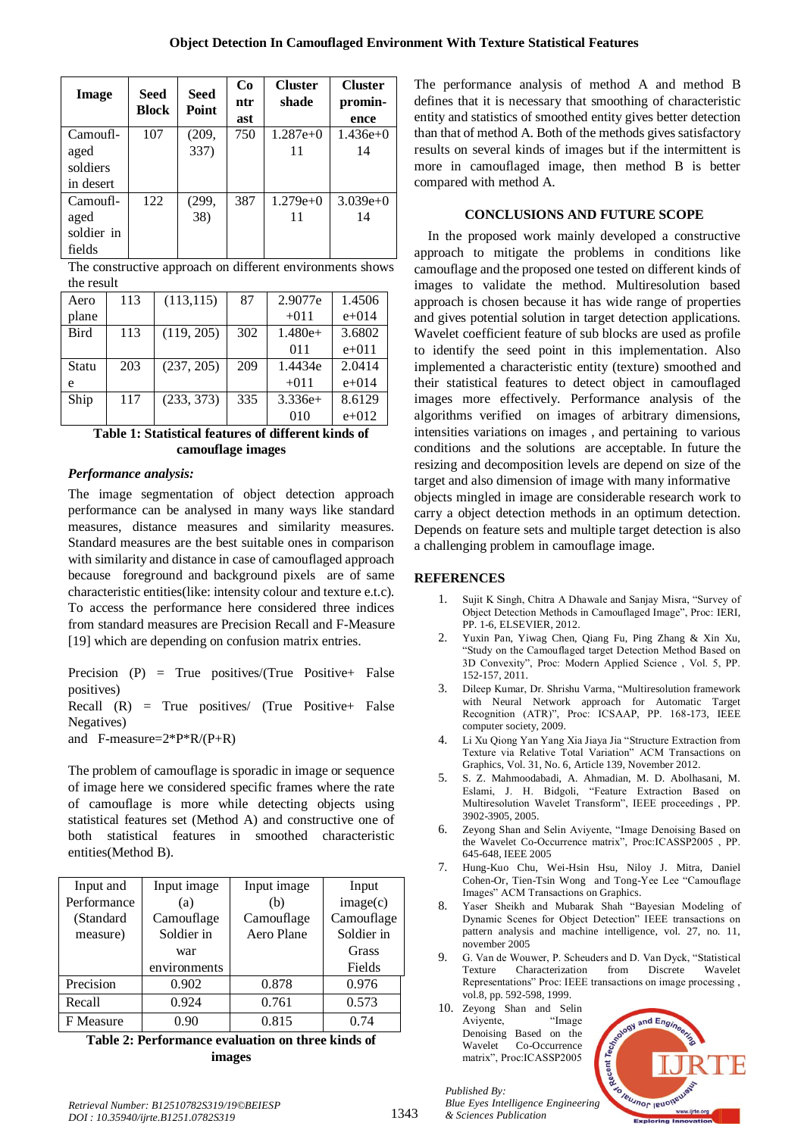| <b>Image</b>     | <b>Seed</b><br><b>Block</b> | <b>Seed</b><br>Point | Co<br>ntr<br>ast | <b>Cluster</b><br>shade | <b>Cluster</b><br>promin-<br>ence |
|------------------|-----------------------------|----------------------|------------------|-------------------------|-----------------------------------|
| Camoufl-         | 107                         | (209,                | 750              | $1.287e+0$              | $1.436e+0$                        |
| aged<br>soldiers |                             | 337)                 |                  | 11                      | 14                                |
| in desert        |                             |                      |                  |                         |                                   |
| Camoufl-         | 122                         | (299,                | 387              | $1.279e+0$              | $3.039e+0$                        |
| aged             |                             | 38)                  |                  | 11                      | 14                                |
| soldier in       |                             |                      |                  |                         |                                   |
| fields           |                             |                      |                  |                         |                                   |

The constructive approach on different environments shows the result

| Aero        | 113 | (113, 115) | 87  | 2.9077e   | 1.4506    |
|-------------|-----|------------|-----|-----------|-----------|
| plane       |     |            |     | $+011$    | $e + 014$ |
| <b>Bird</b> | 113 | (119, 205) | 302 | $1.480e+$ | 3.6802    |
|             |     |            |     | 011       | $e + 011$ |
| Statu       | 203 | (237, 205) | 209 | 1.4434e   | 2.0414    |
| e           |     |            |     | $+011$    | $e + 014$ |
| Ship        | 117 | (233, 373) | 335 | $3.336e+$ | 8.6129    |
|             |     |            |     | 010       | $e + 012$ |

## **Table 1: Statistical features of different kinds of camouflage images**

## *Performance analysis:*

The image segmentation of object detection approach performance can be analysed in many ways like standard measures, distance measures and similarity measures. Standard measures are the best suitable ones in comparison with similarity and distance in case of camouflaged approach because foreground and background pixels are of same characteristic entities(like: intensity colour and texture e.t.c). To access the performance here considered three indices from standard measures are Precision Recall and F-Measure [19] which are depending on confusion matrix entries.

Precision (P) = True positives/(True Positive+ False positives)

Recall  $(R)$  = True positives/ (True Positive+ False Negatives)

and F-measure=2\*P\*R/(P+R)

The problem of camouflage is sporadic in image or sequence of image here we considered specific frames where the rate of camouflage is more while detecting objects using statistical features set (Method A) and constructive one of both statistical features in smoothed characteristic entities(Method B).

| Input and   | Input image  | Input image | Input      |
|-------------|--------------|-------------|------------|
| Performance | (a)          | (b)         | image(c)   |
| (Standard   | Camouflage   | Camouflage  | Camouflage |
| measure)    | Soldier in   | Aero Plane  | Soldier in |
|             | war          |             | Grass      |
|             | environments |             | Fields     |
| Precision   | 0.902        | 0.878       | 0.976      |
| Recall      | 0.924        | 0.761       | 0.573      |
| F Measure   | 0.90         | 0.815       | 0.74       |

**Table 2: Performance evaluation on three kinds of images**

The performance analysis of method A and method B defines that it is necessary that smoothing of characteristic entity and statistics of smoothed entity gives better detection than that of method A. Both of the methods gives satisfactory results on several kinds of images but if the intermittent is more in camouflaged image, then method B is better compared with method A.

# **CONCLUSIONS AND FUTURE SCOPE**

In the proposed work mainly developed a constructive approach to mitigate the problems in conditions like camouflage and the proposed one tested on different kinds of images to validate the method. Multiresolution based approach is chosen because it has wide range of properties and gives potential solution in target detection applications. Wavelet coefficient feature of sub blocks are used as profile to identify the seed point in this implementation. Also implemented a characteristic entity (texture) smoothed and their statistical features to detect object in camouflaged images more effectively. Performance analysis of the algorithms verified on images of arbitrary dimensions, intensities variations on images , and pertaining to various conditions and the solutions are acceptable. In future the resizing and decomposition levels are depend on size of the target and also dimension of image with many informative objects mingled in image are considerable research work to carry a object detection methods in an optimum detection. Depends on feature sets and multiple target detection is also a challenging problem in camouflage image.

# **REFERENCES**

- 1. Sujit K Singh, Chitra A Dhawale and Sanjay Misra, "Survey of Object Detection Methods in Camouflaged Image", Proc: IERI, PP. 1-6, ELSEVIER, 2012.
- 2. Yuxin Pan, Yiwag Chen, Qiang Fu, Ping Zhang & Xin Xu, "Study on the Camouflaged target Detection Method Based on 3D Convexity", Proc: Modern Applied Science , Vol. 5, PP. 152-157, 2011.
- 3. Dileep Kumar, Dr. Shrishu Varma, "Multiresolution framework with Neural Network approach for Automatic Target Recognition (ATR)", Proc: ICSAAP, PP. 168-173, IEEE computer society, 2009.
- 4. Li Xu Qiong Yan Yang Xia Jiaya Jia "Structure Extraction from Texture via Relative Total Variation" ACM Transactions on Graphics, Vol. 31, No. 6, Article 139, November 2012.
- 5. S. Z. Mahmoodabadi, A. Ahmadian, M. D. Abolhasani, M. Eslami, J. H. Bidgoli, "Feature Extraction Based on Multiresolution Wavelet Transform", IEEE proceedings , PP. 3902-3905, 2005.
- 6. Zeyong Shan and Selin Aviyente, "Image Denoising Based on the Wavelet Co-Occurrence matrix", Proc:ICASSP2005 , PP. 645-648, IEEE 2005
- 7. Hung-Kuo Chu, Wei-Hsin Hsu, Niloy J. Mitra, Daniel Cohen-Or, Tien-Tsin Wong and Tong-Yee Lee "Camouflage Images" ACM Transactions on Graphics.
- 8. Yaser Sheikh and Mubarak Shah "Bayesian Modeling of Dynamic Scenes for Object Detection" IEEE transactions on pattern analysis and machine intelligence, vol. 27, no. 11, november 2005
- 9. G. Van de Wouwer, P. Scheuders and D. Van Dyck, "Statistical Texture Characterization from Discrete Wavelet Texture Characterization Representations" Proc: IEEE transactions on image processing , vol.8, pp. 592-598, 1999.
- 10. Zeyong Shan and Selin Aviyente, "Image Denoising Based on the Wavelet Co-Occurrence matrix", Proc:ICASSP2005

*Published By:*

*& Sciences Publication*